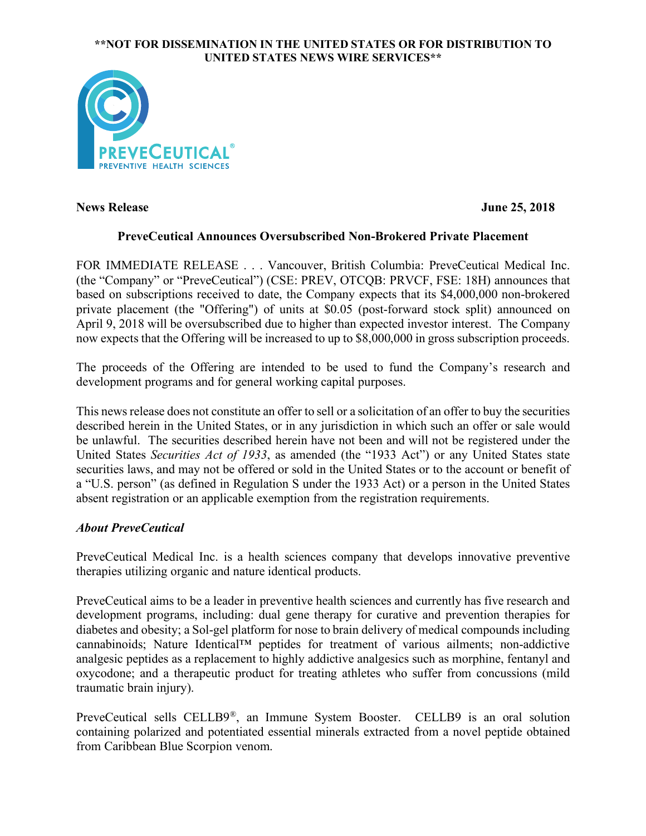### **\*\*NOT FOR DISSEMINATION IN THE UNITED STATES OR FOR DISTRIBUTION TO UNITED STATES NEWS WIRE SERVICES\*\***



**News Release June 25, 2018**

# **PreveCeutical Announces Oversubscribed Non-Brokered Private Placement**

FOR IMMEDIATE RELEASE . . . Vancouver, British Columbia: PreveCeutical Medical Inc. (the "Company" or "PreveCeutical") (CSE: PREV, OTCQB: PRVCF, FSE: 18H) announces that based on subscriptions received to date, the Company expects that its \$4,000,000 non-brokered private placement (the "Offering") of units at \$0.05 (post-forward stock split) announced on April 9, 2018 will be oversubscribed due to higher than expected investor interest. The Company now expects that the Offering will be increased to up to \$8,000,000 in gross subscription proceeds.

The proceeds of the Offering are intended to be used to fund the Company's research and development programs and for general working capital purposes.

This newsrelease does not constitute an offer to sell or a solicitation of an offer to buy the securities described herein in the United States, or in any jurisdiction in which such an offer or sale would be unlawful. The securities described herein have not been and will not be registered under the United States *Securities Act of 1933*, as amended (the "1933 Act") or any United States state securities laws, and may not be offered or sold in the United States or to the account or benefit of a "U.S. person" (as defined in Regulation S under the 1933 Act) or a person in the United States absent registration or an applicable exemption from the registration requirements.

# *About PreveCeutical*

PreveCeutical Medical Inc. is a health sciences company that develops innovative preventive therapies utilizing organic and nature identical products.

PreveCeutical aims to be a leader in preventive health sciences and currently has five research and development programs, including: dual gene therapy for curative and prevention therapies for diabetes and obesity; a Sol-gel platform for nose to brain delivery of medical compounds including cannabinoids; Nature Identical™ peptides for treatment of various ailments; non-addictive analgesic peptides as a replacement to highly addictive analgesics such as morphine, fentanyl and oxycodone; and a therapeutic product for treating athletes who suffer from concussions (mild traumatic brain injury).

PreveCeutical sells CELLB9®, an Immune System Booster. CELLB9 is an oral solution containing polarized and potentiated essential minerals extracted from a novel peptide obtained from Caribbean Blue Scorpion venom.